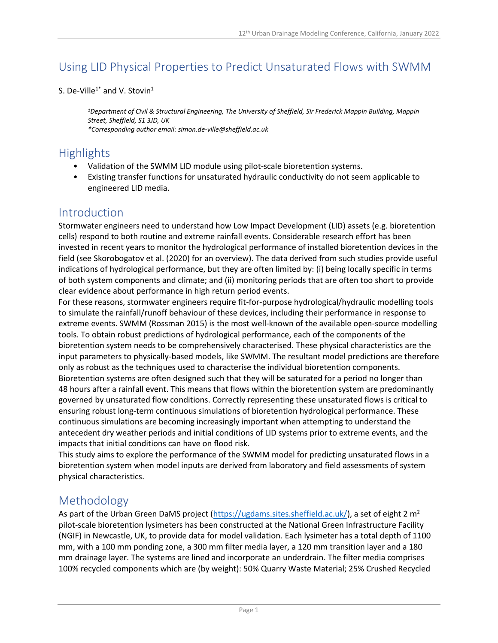# Using LID Physical Properties to Predict Unsaturated Flows with SWMM

#### S. De-Ville<sup>1\*</sup> and V. Stovin<sup>1</sup>

*<sup>1</sup>Department of Civil & Structural Engineering, The University of Sheffield, Sir Frederick Mappin Building, Mappin Street, Sheffield, S1 3JD, UK \*Corresponding author email: simon.de-ville@sheffield.ac.uk*

#### **Highlights**

- Validation of the SWMM LID module using pilot-scale bioretention systems.
- Existing transfer functions for unsaturated hydraulic conductivity do not seem applicable to engineered LID media.

#### Introduction

Stormwater engineers need to understand how Low Impact Development (LID) assets (e.g. bioretention cells) respond to both routine and extreme rainfall events. Considerable research effort has been invested in recent years to monitor the hydrological performance of installed bioretention devices in the field (see Skorobogatov et al. (2020) for an overview). The data derived from such studies provide useful indications of hydrological performance, but they are often limited by: (i) being locally specific in terms of both system components and climate; and (ii) monitoring periods that are often too short to provide clear evidence about performance in high return period events.

For these reasons, stormwater engineers require fit-for-purpose hydrological/hydraulic modelling tools to simulate the rainfall/runoff behaviour of these devices, including their performance in response to extreme events. SWMM (Rossman 2015) is the most well-known of the available open-source modelling tools. To obtain robust predictions of hydrological performance, each of the components of the bioretention system needs to be comprehensively characterised. These physical characteristics are the input parameters to physically-based models, like SWMM. The resultant model predictions are therefore only as robust as the techniques used to characterise the individual bioretention components. Bioretention systems are often designed such that they will be saturated for a period no longer than 48 hours after a rainfall event. This means that flows within the bioretention system are predominantly governed by unsaturated flow conditions. Correctly representing these unsaturated flows is critical to ensuring robust long-term continuous simulations of bioretention hydrological performance. These continuous simulations are becoming increasingly important when attempting to understand the antecedent dry weather periods and initial conditions of LID systems prior to extreme events, and the impacts that initial conditions can have on flood risk.

This study aims to explore the performance of the SWMM model for predicting unsaturated flows in a bioretention system when model inputs are derived from laboratory and field assessments of system physical characteristics.

## Methodology

As part of the Urban Green DaMS project [\(https://ugdams.sites.sheffield.ac.uk/\)](https://ugdams.sites.sheffield.ac.uk/), a set of eight 2  $m<sup>2</sup>$ pilot-scale bioretention lysimeters has been constructed at the National Green Infrastructure Facility (NGIF) in Newcastle, UK, to provide data for model validation. Each lysimeter has a total depth of 1100 mm, with a 100 mm ponding zone, a 300 mm filter media layer, a 120 mm transition layer and a 180 mm drainage layer. The systems are lined and incorporate an underdrain. The filter media comprises 100% recycled components which are (by weight): 50% Quarry Waste Material; 25% Crushed Recycled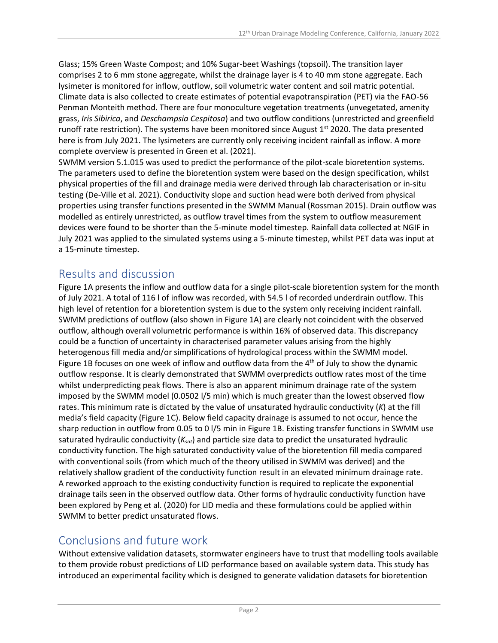Glass; 15% Green Waste Compost; and 10% Sugar-beet Washings (topsoil). The transition layer comprises 2 to 6 mm stone aggregate, whilst the drainage layer is 4 to 40 mm stone aggregate. Each lysimeter is monitored for inflow, outflow, soil volumetric water content and soil matric potential. Climate data is also collected to create estimates of potential evapotranspiration (PET) via the FAO-56 Penman Monteith method. There are four monoculture vegetation treatments (unvegetated, amenity grass, *Iris Sibirica*, and *Deschampsia Cespitosa*) and two outflow conditions (unrestricted and greenfield runoff rate restriction). The systems have been monitored since August  $1<sup>st</sup>$  2020. The data presented here is from July 2021. The lysimeters are currently only receiving incident rainfall as inflow. A more complete overview is presented in Green et al. (2021).

SWMM version 5.1.015 was used to predict the performance of the pilot-scale bioretention systems. The parameters used to define the bioretention system were based on the design specification, whilst physical properties of the fill and drainage media were derived through lab characterisation or in-situ testing (De-Ville et al. 2021). Conductivity slope and suction head were both derived from physical properties using transfer functions presented in the SWMM Manual (Rossman 2015). Drain outflow was modelled as entirely unrestricted, as outflow travel times from the system to outflow measurement devices were found to be shorter than the 5-minute model timestep. Rainfall data collected at NGIF in July 2021 was applied to the simulated systems using a 5-minute timestep, whilst PET data was input at a 15-minute timestep.

## Results and discussion

Figure 1A presents the inflow and outflow data for a single pilot-scale bioretention system for the month of July 2021. A total of 116 l of inflow was recorded, with 54.5 l of recorded underdrain outflow. This high level of retention for a bioretention system is due to the system only receiving incident rainfall. SWMM predictions of outflow (also shown in Figure 1A) are clearly not coincident with the observed outflow, although overall volumetric performance is within 16% of observed data. This discrepancy could be a function of uncertainty in characterised parameter values arising from the highly heterogenous fill media and/or simplifications of hydrological process within the SWMM model. Figure 1B focuses on one week of inflow and outflow data from the  $4<sup>th</sup>$  of July to show the dynamic outflow response. It is clearly demonstrated that SWMM overpredicts outflow rates most of the time whilst underpredicting peak flows. There is also an apparent minimum drainage rate of the system imposed by the SWMM model (0.0502 l/5 min) which is much greater than the lowest observed flow rates. This minimum rate is dictated by the value of unsaturated hydraulic conductivity (*K*) at the fill media's field capacity (Figure 1C). Below field capacity drainage is assumed to not occur, hence the sharp reduction in outflow from 0.05 to 0 l/5 min in Figure 1B. Existing transfer functions in SWMM use saturated hydraulic conductivity (*Ksat*) and particle size data to predict the unsaturated hydraulic conductivity function. The high saturated conductivity value of the bioretention fill media compared with conventional soils (from which much of the theory utilised in SWMM was derived) and the relatively shallow gradient of the conductivity function result in an elevated minimum drainage rate. A reworked approach to the existing conductivity function is required to replicate the exponential drainage tails seen in the observed outflow data. Other forms of hydraulic conductivity function have been explored by Peng et al. (2020) for LID media and these formulations could be applied within SWMM to better predict unsaturated flows.

## Conclusions and future work

Without extensive validation datasets, stormwater engineers have to trust that modelling tools available to them provide robust predictions of LID performance based on available system data. This study has introduced an experimental facility which is designed to generate validation datasets for bioretention